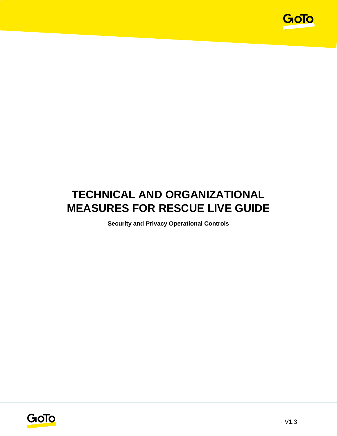

# **TECHNICAL AND ORGANIZATIONAL MEASURES FOR RESCUE LIVE GUIDE**

**Security and Privacy Operational Controls**

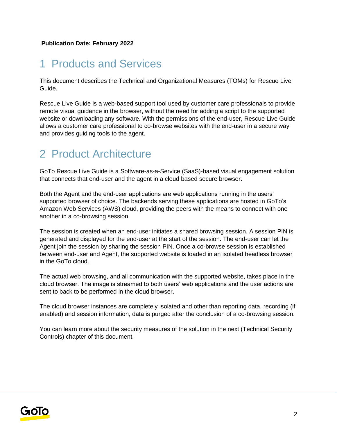## 1 Products and Services

This document describes the Technical and Organizational Measures (TOMs) for Rescue Live Guide.

Rescue Live Guide is a web-based support tool used by customer care professionals to provide remote visual guidance in the browser, without the need for adding a script to the supported website or downloading any software. With the permissions of the end-user, Rescue Live Guide allows a customer care professional to co-browse websites with the end-user in a secure way and provides guiding tools to the agent.

## 2 Product Architecture

GoTo Rescue Live Guide is a Software-as-a-Service (SaaS)-based visual engagement solution that connects that end-user and the agent in a cloud based secure browser.

Both the Agent and the end-user applications are web applications running in the users' supported browser of choice. The backends serving these applications are hosted in GoTo's Amazon Web Services (AWS) cloud, providing the peers with the means to connect with one another in a co-browsing session.

The session is created when an end-user initiates a shared browsing session. A session PIN is generated and displayed for the end-user at the start of the session. The end-user can let the Agent join the session by sharing the session PIN. Once a co-browse session is established between end-user and Agent, the supported website is loaded in an isolated headless browser in the GoTo cloud.

The actual web browsing, and all communication with the supported website, takes place in the cloud browser. The image is streamed to both users' web applications and the user actions are sent to back to be performed in the cloud browser.

The cloud browser instances are completely isolated and other than reporting data, recording (if enabled) and session information, data is purged after the conclusion of a co-browsing session.

You can learn more about the security measures of the solution in the next (Technical Security Controls) chapter of this document.

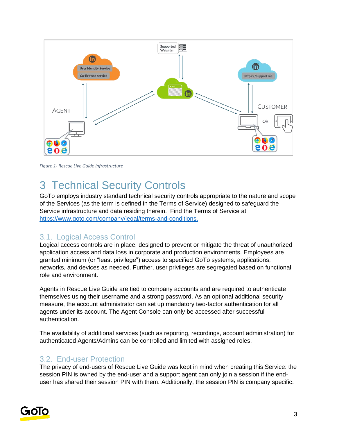

*Figure 1- Rescue Live Guide Infrastructure*

## 3 Technical Security Controls

GoTo employs industry standard technical security controls appropriate to the nature and scope of the Services (as the term is defined in the Terms of Service) designed to safeguard the Service infrastructure and data residing therein. Find the Terms of Service a[t](http://www.logmein.com/legal/terms-and-conditions) [https://www.goto.com/company/legal/terms-and-conditions.](https://www.goto.com/company/legal/terms-and-conditions)

#### 3.1. Logical Access Control

Logical access controls are in place, designed to prevent or mitigate the threat of unauthorized application access and data loss in corporate and production environments. Employees are granted minimum (or "least privilege") access to specified GoTo systems, applications, networks, and devices as needed. Further, user privileges are segregated based on functional role and environment.

Agents in Rescue Live Guide are tied to company accounts and are required to authenticate themselves using their username and a strong password. As an optional additional security measure, the account administrator can set up mandatory two-factor authentication for all agents under its account. The Agent Console can only be accessed after successful authentication.

The availability of additional services (such as reporting, recordings, account administration) for authenticated Agents/Admins can be controlled and limited with assigned roles.

### 3.2. End-user Protection

The privacy of end-users of Rescue Live Guide was kept in mind when creating this Service: the session PIN is owned by the end-user and a support agent can only join a session if the enduser has shared their session PIN with them. Additionally, the session PIN is company specific:

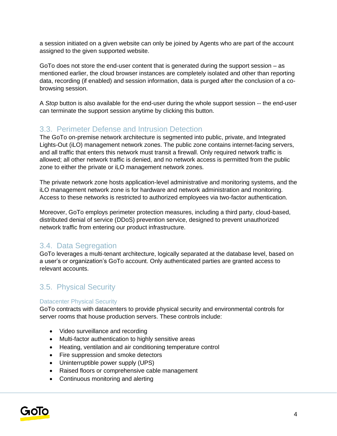a session initiated on a given website can only be joined by Agents who are part of the account assigned to the given supported website.

GoTo does not store the end-user content that is generated during the support session – as mentioned earlier, the cloud browser instances are completely isolated and other than reporting data, recording (if enabled) and session information, data is purged after the conclusion of a cobrowsing session.

A *Stop* button is also available for the end-user during the whole support session -- the end-user can terminate the support session anytime by clicking this button.

## 3.3. Perimeter Defense and Intrusion Detection

The GoTo on-premise network architecture is segmented into public, private, and Integrated Lights-Out (iLO) management network zones. The public zone contains internet-facing servers, and all traffic that enters this network must transit a firewall. Only required network traffic is allowed; all other network traffic is denied, and no network access is permitted from the public zone to either the private or iLO management network zones.

The private network zone hosts application-level administrative and monitoring systems, and the iLO management network zone is for hardware and network administration and monitoring. Access to these networks is restricted to authorized employees via two-factor authentication.

Moreover, GoTo employs perimeter protection measures, including a third party, cloud-based, distributed denial of service (DDoS) prevention service, designed to prevent unauthorized network traffic from entering our product infrastructure.

## 3.4. Data Segregation

GoTo leverages a multi-tenant architecture, logically separated at the database level, based on a user's or organization's GoTo account. Only authenticated parties are granted access to relevant accounts.

## 3.5. Physical Security

#### Datacenter Physical Security

GoTo contracts with datacenters to provide physical security and environmental controls for server rooms that house production servers. These controls include:

- Video surveillance and recording
- Multi-factor authentication to highly sensitive areas
- Heating, ventilation and air conditioning temperature control
- Fire suppression and smoke detectors
- Uninterruptible power supply (UPS)
- Raised floors or comprehensive cable management
- Continuous monitoring and alerting

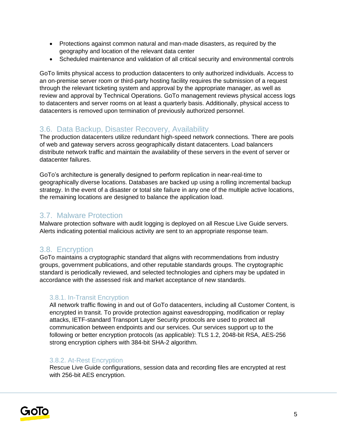- Protections against common natural and man-made disasters, as required by the geography and location of the relevant data center
- Scheduled maintenance and validation of all critical security and environmental controls

GoTo limits physical access to production datacenters to only authorized individuals. Access to an on-premise server room or third-party hosting facility requires the submission of a request through the relevant ticketing system and approval by the appropriate manager, as well as review and approval by Technical Operations. GoTo management reviews physical access logs to datacenters and server rooms on at least a quarterly basis. Additionally, physical access to datacenters is removed upon termination of previously authorized personnel.

### 3.6. Data Backup, Disaster Recovery, Availability

The production datacenters utilize redundant high-speed network connections. There are pools of web and gateway servers across geographically distant datacenters. Load balancers distribute network traffic and maintain the availability of these servers in the event of server or datacenter failures.

GoTo's architecture is generally designed to perform replication in near-real-time to geographically diverse locations. Databases are backed up using a rolling incremental backup strategy. In the event of a disaster or total site failure in any one of the multiple active locations, the remaining locations are designed to balance the application load.

### 3.7. Malware Protection

Malware protection software with audit logging is deployed on all Rescue Live Guide servers. Alerts indicating potential malicious activity are sent to an appropriate response team.

## 3.8. Encryption

GoTo maintains a cryptographic standard that aligns with recommendations from industry groups, government publications, and other reputable standards groups. The cryptographic standard is periodically reviewed, and selected technologies and ciphers may be updated in accordance with the assessed risk and market acceptance of new standards.

#### 3.8.1. In-Transit Encryption

All network traffic flowing in and out of GoTo datacenters, including all Customer Content, is encrypted in transit. To provide protection against eavesdropping, modification or replay attacks, IETF-standard Transport Layer Security protocols are used to protect all communication between endpoints and our services. Our services support up to the following or better encryption protocols (as applicable): TLS 1.2, 2048-bit RSA, AES-256 strong encryption ciphers with 384-bit SHA-2 algorithm.

#### 3.8.2. At-Rest Encryption

Rescue Live Guide configurations, session data and recording files are encrypted at rest with 256-bit AES encryption.

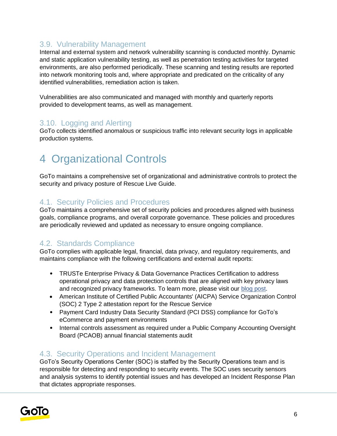## 3.9. Vulnerability Management

Internal and external system and network vulnerability scanning is conducted monthly. Dynamic and static application vulnerability testing, as well as penetration testing activities for targeted environments, are also performed periodically. These scanning and testing results are reported into network monitoring tools and, where appropriate and predicated on the criticality of any identified vulnerabilities, remediation action is taken.

Vulnerabilities are also communicated and managed with monthly and quarterly reports provided to development teams, as well as management.

## 3.10. Logging and Alerting

GoTo collects identified anomalous or suspicious traffic into relevant security logs in applicable production systems.

## 4 Organizational Controls

GoTo maintains a comprehensive set of organizational and administrative controls to protect the security and privacy posture of Rescue Live Guide.

### 4.1. Security Policies and Procedures

GoTo maintains a comprehensive set of security policies and procedures aligned with business goals, compliance programs, and overall corporate governance. These policies and procedures are periodically reviewed and updated as necessary to ensure ongoing compliance.

## 4.2. Standards Compliance

GoTo complies with applicable legal, financial, data privacy, and regulatory requirements, and maintains compliance with the following certifications and external audit reports:

- TRUSTe Enterprise Privacy & Data Governance Practices Certification to address operational privacy and data protection controls that are aligned with key privacy laws and recognized privacy frameworks. To learn more, please visit ou[r](https://blog.logmeininc.com/logmein-furthers-commitment-to-data-privacy-with-truste-enterprise-privacy-certification-seal/?lang=en) [blog post](https://www.goto.com/blog/logmein-furthers-commitment-to-data-privacy-with-truste-enterprise-privacy-certification-seal)[.](https://blog.logmeininc.com/logmein-furthers-commitment-to-data-privacy-with-truste-enterprise-privacy-certification-seal/?lang=en)
- American Institute of Certified Public Accountants' (AICPA) Service Organization Control (SOC) 2 Type 2 attestation report for the Rescue Service
- Payment Card Industry Data Security Standard (PCI DSS) compliance for GoTo's eCommerce and payment environments
- Internal controls assessment as required under a Public Company Accounting Oversight Board (PCAOB) annual financial statements audit

## 4.3. Security Operations and Incident Management

GoTo's Security Operations Center (SOC) is staffed by the Security Operations team and is responsible for detecting and responding to security events. The SOC uses security sensors and analysis systems to identify potential issues and has developed an Incident Response Plan that dictates appropriate responses.

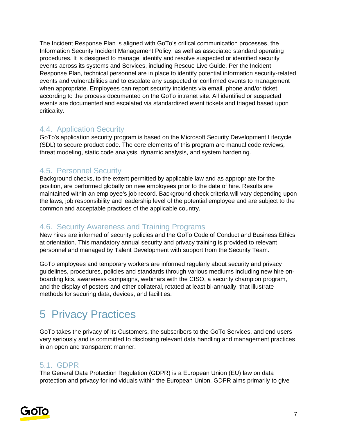The Incident Response Plan is aligned with GoTo's critical communication processes, the Information Security Incident Management Policy, as well as associated standard operating procedures. It is designed to manage, identify and resolve suspected or identified security events across its systems and Services, including Rescue Live Guide. Per the Incident Response Plan, technical personnel are in place to identify potential information security-related events and vulnerabilities and to escalate any suspected or confirmed events to management when appropriate. Employees can report security incidents via email, phone and/or ticket, according to the process documented on the GoTo intranet site. All identified or suspected events are documented and escalated via standardized event tickets and triaged based upon criticality.

### 4.4. Application Security

GoTo's application security program is based on the Microsoft Security Development Lifecycle (SDL) to secure product code. The core elements of this program are manual code reviews, threat modeling, static code analysis, dynamic analysis, and system hardening.

## 4.5. Personnel Security

Background checks, to the extent permitted by applicable law and as appropriate for the position, are performed globally on new employees prior to the date of hire. Results are maintained within an employee's job record. Background check criteria will vary depending upon the laws, job responsibility and leadership level of the potential employee and are subject to the common and acceptable practices of the applicable country.

## 4.6. Security Awareness and Training Programs

New hires are informed of security policies and the GoTo Code of Conduct and Business Ethics at orientation. This mandatory annual security and privacy training is provided to relevant personnel and managed by Talent Development with support from the Security Team.

GoTo employees and temporary workers are informed regularly about security and privacy guidelines, procedures, policies and standards through various mediums including new hire onboarding kits, awareness campaigns, webinars with the CISO, a security champion program, and the display of posters and other collateral, rotated at least bi-annually, that illustrate methods for securing data, devices, and facilities.

# 5 Privacy Practices

GoTo takes the privacy of its Customers, the subscribers to the GoTo Services, and end users very seriously and is committed to disclosing relevant data handling and management practices in an open and transparent manner.

### 5.1. GDPR

The General Data Protection Regulation (GDPR) is a European Union (EU) law on data protection and privacy for individuals within the European Union. GDPR aims primarily to give

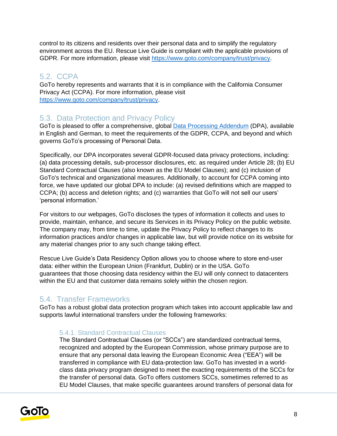control to its citizens and residents over their personal data and to simplify the regulatory environment across the EU. Rescue Live Guide is compliant with the applicable provisions of GDPR. For more information, please visit [https://www.goto.com/company/trust/privacy.](https://www.goto.com/company/trust/privacy)

## 5.2. CCPA

GoTo hereby represents and warrants that it is in compliance with the California Consumer Privacy Act (CCPA). For more information, please visit [https://www.goto.com/company/trust/privacy.](https://www.goto.com/company/trust/privacy)

## 5.3. Data Protection and Privacy Policy

GoTo is pleased to offer a comprehensive, global [Data Processing Addendum](https://www.goto.com/company/legal) (DPA), available in [English](https://www.docusign.net/Member/PowerFormSigning.aspx?PowerFormId=87db4c61-3929-4ccb-ab58-b202e064c4a1) and [German,](https://www.docusign.net/Member/PowerFormSigning.aspx?PowerFormId=29541afa-3cf0-4d7c-90f8-e971a0866b8e&env=na1) to meet the requirements of the GDPR, CCPA, and beyond and which governs GoTo's processing of Personal Data.

Specifically, our DPA incorporates several GDPR-focused data privacy protections, including: (a) data processing details, sub-processor disclosures, etc. as required under Article 28; (b) EU Standard Contractual Clauses (also known as the EU Model Clauses); and (c) inclusion of GoTo's technical and organizational measures. Additionally, to account for CCPA coming into force, we have updated our global DPA to include: (a) revised definitions which are mapped to CCPA; (b) access and deletion rights; and (c) warranties that GoTo will not sell our users' 'personal information.'

For visitors to our webpages, GoTo discloses the types of information it collects and uses to provide, maintain, enhance, and secure its Services in its Privacy Policy on the public website. The company may, from time to time, update the Privacy Policy to reflect changes to its information practices and/or changes in applicable law, but will provide notice on its website for any material changes prior to any such change taking effect.

Rescue Live Guide's Data Residency Option allows you to choose where to store end-user data: either within the European Union (Frankfurt, Dublin) or in the USA. GoTo guarantees that those choosing data residency within the EU will only connect to datacenters within the EU and that customer data remains solely within the chosen region.

## 5.4. Transfer Frameworks

GoTo has a robust global data protection program which takes into account applicable law and supports lawful international transfers under the following frameworks:

#### 5.4.1. Standard Contractual Clauses

The Standard Contractual Clauses (or "SCCs") are standardized contractual terms, recognized and adopted by the European Commission, whose primary purpose are to ensure that any personal data leaving the European Economic Area ("EEA") will be transferred in compliance with EU data-protection law. GoTo has invested in a worldclass data privacy program designed to meet the exacting requirements of the SCCs for the transfer of personal data. GoTo offers customers SCCs, sometimes referred to as EU Model Clauses, that make specific guarantees around transfers of personal data for

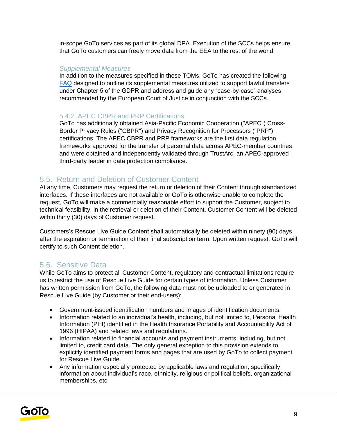in-scope GoTo services as part of its global DPA. Execution of the SCCs helps ensure that GoTo customers can freely move data from the EEA to the rest of the world.

#### *Supplemental Measures*

In addition to the measures specified in these TOMs, GoTo has created the following [FAQ](https://logmeincdn.azureedge.net/legal/international-data-transfers-faq.pdf) designed to outline its supplemental measures utilized to support lawful transfers under Chapter 5 of the GDPR and address and guide any "case-by-case" analyses recommended by the European Court of Justice in conjunction with the SCCs.

#### 5.4.2. APEC CBPR and PRP Certifications

GoTo has additionally obtained Asia-Pacific Economic Cooperation ("APEC") Cross-Border Privacy Rules ("CBPR") and Privacy Recognition for Processors ("PRP") certifications. The APEC CBPR and PRP frameworks are the first data regulation frameworks approved for the transfer of personal data across APEC-member countries and were obtained and independently validated through TrustArc, an APEC-approved third-party leader in data protection compliance.

## 5.5. Return and Deletion of Customer Content

At any time, Customers may request the return or deletion of their Content through standardized interfaces. If these interfaces are not available or GoTo is otherwise unable to complete the request, GoTo will make a commercially reasonable effort to support the Customer, subject to technical feasibility, in the retrieval or deletion of their Content. Customer Content will be deleted within thirty (30) days of Customer request.

Customers's Rescue Live Guide Content shall automatically be deleted within ninety (90) days after the expiration or termination of their final subscription term. Upon written request, GoTo will certify to such Content deletion.

#### 5.6. Sensitive Data

While GoTo aims to protect all Customer Content, regulatory and contractual limitations require us to restrict the use of Rescue Live Guide for certain types of information. Unless Customer has written permission from GoTo, the following data must not be uploaded to or generated in Rescue Live Guide (by Customer or their end-users):

- Government-issued identification numbers and images of identification documents.
- Information related to an individual's health, including, but not limited to, Personal Health Information (PHI) identified in the Health Insurance Portability and Accountability Act of 1996 (HIPAA) and related laws and regulations.
- Information related to financial accounts and payment instruments, including, but not limited to, credit card data. The only general exception to this provision extends to explicitly identified payment forms and pages that are used by GoTo to collect payment for Rescue Live Guide.
- Any information especially protected by applicable laws and regulation, specifically information about individual's race, ethnicity, religious or political beliefs, organizational memberships, etc.